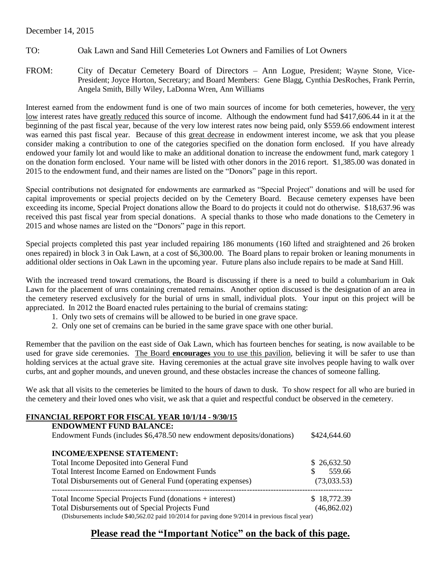### December 14, 2015

- TO: Oak Lawn and Sand Hill Cemeteries Lot Owners and Families of Lot Owners
- FROM: City of Decatur Cemetery Board of Directors Ann Logue, President; Wayne Stone, Vice-President; Joyce Horton, Secretary; and Board Members: Gene Blagg, Cynthia DesRoches, Frank Perrin, Angela Smith, Billy Wiley, LaDonna Wren, Ann Williams

Interest earned from the endowment fund is one of two main sources of income for both cemeteries, however, the very low interest rates have greatly reduced this source of income. Although the endowment fund had \$417,606.44 in it at the beginning of the past fiscal year, because of the very low interest rates now being paid, only \$559.66 endowment interest was earned this past fiscal year. Because of this great decrease in endowment interest income, we ask that you please consider making a contribution to one of the categories specified on the donation form enclosed. If you have already endowed your family lot and would like to make an additional donation to increase the endowment fund, mark category 1 on the donation form enclosed. Your name will be listed with other donors in the 2016 report. \$1,385.00 was donated in 2015 to the endowment fund, and their names are listed on the "Donors" page in this report.

Special contributions not designated for endowments are earmarked as "Special Project" donations and will be used for capital improvements or special projects decided on by the Cemetery Board. Because cemetery expenses have been exceeding its income, Special Project donations allow the Board to do projects it could not do otherwise. \$18,637.96 was received this past fiscal year from special donations. A special thanks to those who made donations to the Cemetery in 2015 and whose names are listed on the "Donors" page in this report.

Special projects completed this past year included repairing 186 monuments (160 lifted and straightened and 26 broken ones repaired) in block 3 in Oak Lawn, at a cost of \$6,300.00. The Board plans to repair broken or leaning monuments in additional older sections in Oak Lawn in the upcoming year. Future plans also include repairs to be made at Sand Hill.

With the increased trend toward cremations, the Board is discussing if there is a need to build a columbarium in Oak Lawn for the placement of urns containing cremated remains. Another option discussed is the designation of an area in the cemetery reserved exclusively for the burial of urns in small, individual plots. Your input on this project will be appreciated. In 2012 the Board enacted rules pertaining to the burial of cremains stating:

- 1. Only two sets of cremains will be allowed to be buried in one grave space.
- 2. Only one set of cremains can be buried in the same grave space with one other burial.

Remember that the pavilion on the east side of Oak Lawn, which has fourteen benches for seating, is now available to be used for grave side ceremonies. The Board **encourages** you to use this pavilion, believing it will be safer to use than holding services at the actual grave site. Having ceremonies at the actual grave site involves people having to walk over curbs, ant and gopher mounds, and uneven ground, and these obstacles increase the chances of someone falling.

We ask that all visits to the cemeteries be limited to the hours of dawn to dusk. To show respect for all who are buried in the cemetery and their loved ones who visit, we ask that a quiet and respectful conduct be observed in the cemetery.

### **FINANCIAL REPORT FOR FISCAL YEAR 10/1/14 - 9/30/15**

| <b>ENDOWMENT FUND BALANCE:</b><br>Endowment Funds (includes \$6,478.50 new endowment deposits/donations) | \$424,644.60 |
|----------------------------------------------------------------------------------------------------------|--------------|
| <b>INCOME/EXPENSE STATEMENT:</b>                                                                         |              |
| Total Income Deposited into General Fund                                                                 | \$26,632.50  |
| <b>Total Interest Income Earned on Endowment Funds</b>                                                   | 559.66<br>S. |
| Total Disbursements out of General Fund (operating expenses)                                             | (73,033.53)  |
| Total Income Special Projects Fund (donations + interest)                                                | \$18,772.39  |
| Total Disbursements out of Special Projects Fund                                                         | (46, 862.02) |
| (Disbursements include $$40,562.02$ paid $10/2014$ for paving done $9/2014$ in previous fiscal year)     |              |

### **Please read the "Important Notice" on the back of this page.**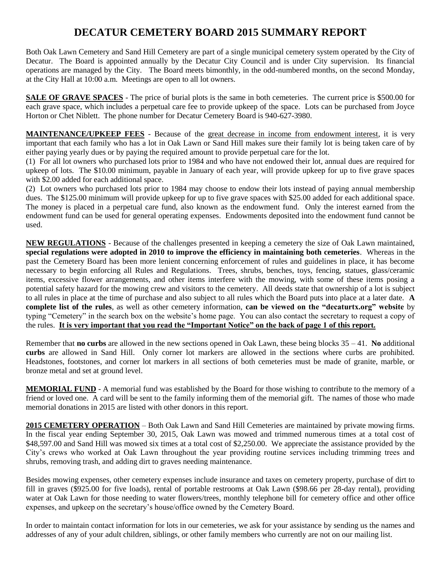## **DECATUR CEMETERY BOARD 2015 SUMMARY REPORT**

Both Oak Lawn Cemetery and Sand Hill Cemetery are part of a single municipal cemetery system operated by the City of Decatur. The Board is appointed annually by the Decatur City Council and is under City supervision. Its financial operations are managed by the City. The Board meets bimonthly, in the odd-numbered months, on the second Monday, at the City Hall at 10:00 a.m. Meetings are open to all lot owners.

**SALE OF GRAVE SPACES** - The price of burial plots is the same in both cemeteries. The current price is \$500.00 for each grave space, which includes a perpetual care fee to provide upkeep of the space. Lots can be purchased from Joyce Horton or Chet Niblett. The phone number for Decatur Cemetery Board is 940-627-3980.

**MAINTENANCE/UPKEEP FEES** - Because of the great decrease in income from endowment interest, it is very important that each family who has a lot in Oak Lawn or Sand Hill makes sure their family lot is being taken care of by either paying yearly dues or by paying the required amount to provide perpetual care for the lot.

(1) For all lot owners who purchased lots prior to 1984 and who have not endowed their lot, annual dues are required for upkeep of lots. The \$10.00 minimum, payable in January of each year, will provide upkeep for up to five grave spaces with \$2.00 added for each additional space.

(2) Lot owners who purchased lots prior to 1984 may choose to endow their lots instead of paying annual membership dues. The \$125.00 minimum will provide upkeep for up to five grave spaces with \$25.00 added for each additional space. The money is placed in a perpetual care fund, also known as the endowment fund. Only the interest earned from the endowment fund can be used for general operating expenses. Endowments deposited into the endowment fund cannot be used.

**NEW REGULATIONS** - Because of the challenges presented in keeping a cemetery the size of Oak Lawn maintained, **special regulations were adopted in 2010 to improve the efficiency in maintaining both cemeteries**. Whereas in the past the Cemetery Board has been more lenient concerning enforcement of rules and guidelines in place, it has become necessary to begin enforcing all Rules and Regulations. Trees, shrubs, benches, toys, fencing, statues, glass/ceramic items, excessive flower arrangements, and other items interfere with the mowing, with some of these items posing a potential safety hazard for the mowing crew and visitors to the cemetery. All deeds state that ownership of a lot is subject to all rules in place at the time of purchase and also subject to all rules which the Board puts into place at a later date. **A complete list of the rules**, as well as other cemetery information, **can be viewed on the "decaturtx.org" website** by typing "Cemetery" in the search box on the website's home page. You can also contact the secretary to request a copy of the rules. **It is very important that you read the "Important Notice" on the back of page 1 of this report.**

Remember that **no curbs** are allowed in the new sections opened in Oak Lawn, these being blocks 35 – 41. **No** additional **curbs** are allowed in Sand Hill. Only corner lot markers are allowed in the sections where curbs are prohibited. Headstones, footstones, and corner lot markers in all sections of both cemeteries must be made of granite, marble, or bronze metal and set at ground level.

**MEMORIAL FUND** - A memorial fund was established by the Board for those wishing to contribute to the memory of a friend or loved one. A card will be sent to the family informing them of the memorial gift. The names of those who made memorial donations in 2015 are listed with other donors in this report.

**2015 CEMETERY OPERATION** – Both Oak Lawn and Sand Hill Cemeteries are maintained by private mowing firms. In the fiscal year ending September 30, 2015, Oak Lawn was mowed and trimmed numerous times at a total cost of \$48,597.00 and Sand Hill was mowed six times at a total cost of \$2,250.00. We appreciate the assistance provided by the City's crews who worked at Oak Lawn throughout the year providing routine services including trimming trees and shrubs, removing trash, and adding dirt to graves needing maintenance.

Besides mowing expenses, other cemetery expenses include insurance and taxes on cemetery property, purchase of dirt to fill in graves (\$925.00 for five loads), rental of portable restrooms at Oak Lawn (\$98.66 per 28-day rental), providing water at Oak Lawn for those needing to water flowers/trees, monthly telephone bill for cemetery office and other office expenses, and upkeep on the secretary's house/office owned by the Cemetery Board.

In order to maintain contact information for lots in our cemeteries, we ask for your assistance by sending us the names and addresses of any of your adult children, siblings, or other family members who currently are not on our mailing list.